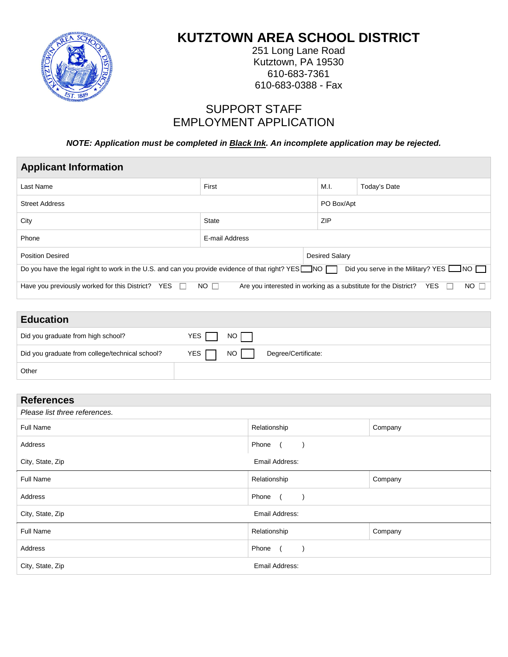

j

# **KUTZTOWN AREA SCHOOL DISTRICT**

251 Long Lane Road Kutztown, PA 19530 610-683-7361 610-683-0388 - Fax

## SUPPORT STAFF EMPLOYMENT APPLICATION

*NOTE: Application must be completed in Black Ink. An incomplete application may be rejected.*

| <b>Applicant Information</b>                                                                                                                                            |                |                       |              |  |  |
|-------------------------------------------------------------------------------------------------------------------------------------------------------------------------|----------------|-----------------------|--------------|--|--|
| Last Name                                                                                                                                                               | First          | M.I.                  | Today's Date |  |  |
| <b>Street Address</b>                                                                                                                                                   |                |                       | PO Box/Apt   |  |  |
| City<br><b>State</b>                                                                                                                                                    |                | ZIP                   |              |  |  |
| Phone                                                                                                                                                                   | E-mail Address |                       |              |  |  |
| <b>Position Desired</b>                                                                                                                                                 |                | <b>Desired Salary</b> |              |  |  |
| Do you have the legal right to work in the U.S. and can you provide evidence of that right? YES $\Box$ NO $\Box$<br>Did you serve in the Military? YES $\Box$ NO $\Box$ |                |                       |              |  |  |
| <b>YES</b><br>$NO$ $\Box$<br>Have you previously worked for this District?<br>YES<br>$NO$ $\Box$<br>Are you interested in working as a substitute for the District?     |                |                       |              |  |  |

| <b>Education</b>                                |                                          |
|-------------------------------------------------|------------------------------------------|
| Did you graduate from high school?              | YES $\Box$<br>NO I                       |
| Did you graduate from college/technical school? | <b>YES</b><br>NO.<br>Degree/Certificate: |
| Other                                           |                                          |

| <b>References</b>             |                |         |  |
|-------------------------------|----------------|---------|--|
| Please list three references. |                |         |  |
| <b>Full Name</b>              | Relationship   | Company |  |
| Address                       | Phone (        |         |  |
| City, State, Zip              | Email Address: |         |  |
| Full Name                     | Relationship   | Company |  |
| Address                       | Phone (        |         |  |
| City, State, Zip              | Email Address: |         |  |
| Full Name                     | Relationship   | Company |  |
| Address                       | Phone (        |         |  |
| City, State, Zip              | Email Address: |         |  |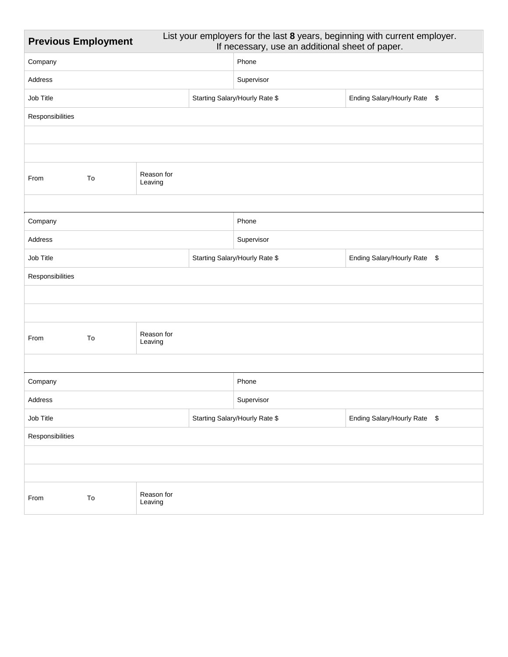| List your employers for the last 8 years, beginning with current employer.<br><b>Previous Employment</b><br>If necessary, use an additional sheet of paper. |                             |                       |                                                                |                                |                              |  |
|-------------------------------------------------------------------------------------------------------------------------------------------------------------|-----------------------------|-----------------------|----------------------------------------------------------------|--------------------------------|------------------------------|--|
| Company                                                                                                                                                     |                             |                       |                                                                | Phone                          |                              |  |
| Address                                                                                                                                                     |                             |                       | Supervisor                                                     |                                |                              |  |
| Job Title                                                                                                                                                   |                             |                       |                                                                | Starting Salary/Hourly Rate \$ | Ending Salary/Hourly Rate \$ |  |
| Responsibilities                                                                                                                                            |                             |                       |                                                                |                                |                              |  |
|                                                                                                                                                             |                             |                       |                                                                |                                |                              |  |
|                                                                                                                                                             |                             |                       |                                                                |                                |                              |  |
| From                                                                                                                                                        | Reason for<br>To<br>Leaving |                       |                                                                |                                |                              |  |
|                                                                                                                                                             |                             |                       |                                                                |                                |                              |  |
| Company                                                                                                                                                     |                             |                       |                                                                | Phone                          |                              |  |
| Address                                                                                                                                                     |                             |                       | Supervisor                                                     |                                |                              |  |
| Job Title                                                                                                                                                   |                             |                       | Starting Salary/Hourly Rate \$<br>Ending Salary/Hourly Rate \$ |                                |                              |  |
| Responsibilities                                                                                                                                            |                             |                       |                                                                |                                |                              |  |
|                                                                                                                                                             |                             |                       |                                                                |                                |                              |  |
|                                                                                                                                                             |                             |                       |                                                                |                                |                              |  |
| From                                                                                                                                                        | To                          | Reason for<br>Leaving |                                                                |                                |                              |  |
|                                                                                                                                                             |                             |                       |                                                                |                                |                              |  |
| Company                                                                                                                                                     |                             |                       | Phone                                                          |                                |                              |  |
| Address                                                                                                                                                     |                             | Supervisor            |                                                                |                                |                              |  |
| Job Title                                                                                                                                                   |                             |                       | Starting Salary/Hourly Rate \$<br>Ending Salary/Hourly Rate \$ |                                |                              |  |
| Responsibilities                                                                                                                                            |                             |                       |                                                                |                                |                              |  |
|                                                                                                                                                             |                             |                       |                                                                |                                |                              |  |
|                                                                                                                                                             |                             |                       |                                                                |                                |                              |  |
| From                                                                                                                                                        | ${\tt To}$                  | Reason for<br>Leaving |                                                                |                                |                              |  |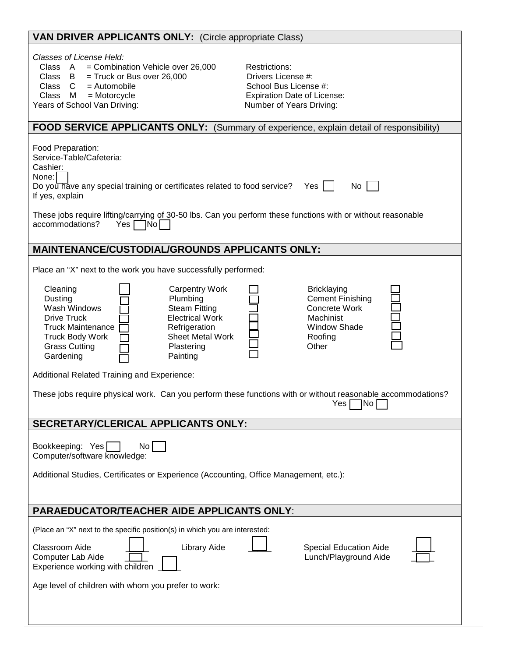| <b>VAN DRIVER APPLICANTS ONLY: (Circle appropriate Class)</b>                                                                                                                                                                                                                                              |                                                                                                                                       |  |  |  |
|------------------------------------------------------------------------------------------------------------------------------------------------------------------------------------------------------------------------------------------------------------------------------------------------------------|---------------------------------------------------------------------------------------------------------------------------------------|--|--|--|
| Classes of License Held:<br>= Combination Vehicle over 26,000<br>Class A<br>Class B<br>$=$ Truck or Bus over 26,000<br>$=$ Automobile<br>Class C<br>Class<br>$=$ Motorcycle<br>- M<br>Years of School Van Driving:                                                                                         | <b>Restrictions:</b><br>Drivers License #:<br>School Bus License #:<br><b>Expiration Date of License:</b><br>Number of Years Driving: |  |  |  |
| FOOD SERVICE APPLICANTS ONLY: (Summary of experience, explain detail of responsibility)                                                                                                                                                                                                                    |                                                                                                                                       |  |  |  |
| Food Preparation:<br>Service-Table/Cafeteria:<br>Cashier:<br>None:<br>Do you have any special training or certificates related to food service?<br>No<br>Yes<br>If yes, explain                                                                                                                            |                                                                                                                                       |  |  |  |
| These jobs require lifting/carrying of 30-50 lbs. Can you perform these functions with or without reasonable<br>accommodations?<br>$Yes \Box No \Box$                                                                                                                                                      |                                                                                                                                       |  |  |  |
| <b>MAINTENANCE/CUSTODIAL/GROUNDS APPLICANTS ONLY:</b>                                                                                                                                                                                                                                                      |                                                                                                                                       |  |  |  |
| Place an "X" next to the work you have successfully performed:                                                                                                                                                                                                                                             |                                                                                                                                       |  |  |  |
| Cleaning<br><b>Carpentry Work</b><br>Dusting<br>Plumbing<br>Wash Windows<br><b>Steam Fitting</b><br><b>Electrical Work</b><br><b>Drive Truck</b><br><b>Truck Maintenance</b><br>Refrigeration<br>Sheet Metal Work<br><b>Truck Body Work</b><br><b>Grass Cutting</b><br>Plastering<br>Gardening<br>Painting | <b>Bricklaying</b><br><b>Cement Finishing</b><br>Concrete Work<br>Machinist<br><b>Window Shade</b><br>Roofing<br>Other                |  |  |  |
| Additional Related Training and Experience:                                                                                                                                                                                                                                                                |                                                                                                                                       |  |  |  |
| These jobs require physical work. Can you perform these functions with or without reasonable accommodations?<br>$Yes \Box No \Box$                                                                                                                                                                         |                                                                                                                                       |  |  |  |
| SECRETARY/CLERICAL APPLICANTS ONLY:                                                                                                                                                                                                                                                                        |                                                                                                                                       |  |  |  |
| Bookkeeping: Yes<br>No <sub>1</sub><br>Computer/software knowledge:<br>Additional Studies, Certificates or Experience (Accounting, Office Management, etc.):                                                                                                                                               |                                                                                                                                       |  |  |  |
| <b>PARAEDUCATOR/TEACHER AIDE APPLICANTS ONLY:</b>                                                                                                                                                                                                                                                          |                                                                                                                                       |  |  |  |
| (Place an "X" next to the specific position(s) in which you are interested:<br><b>Library Aide</b><br><b>Classroom Aide</b><br>Computer Lab Aide<br>Experience working with children<br>Age level of children with whom you prefer to work:                                                                | <b>Special Education Aide</b><br>Lunch/Playground Aide                                                                                |  |  |  |
|                                                                                                                                                                                                                                                                                                            |                                                                                                                                       |  |  |  |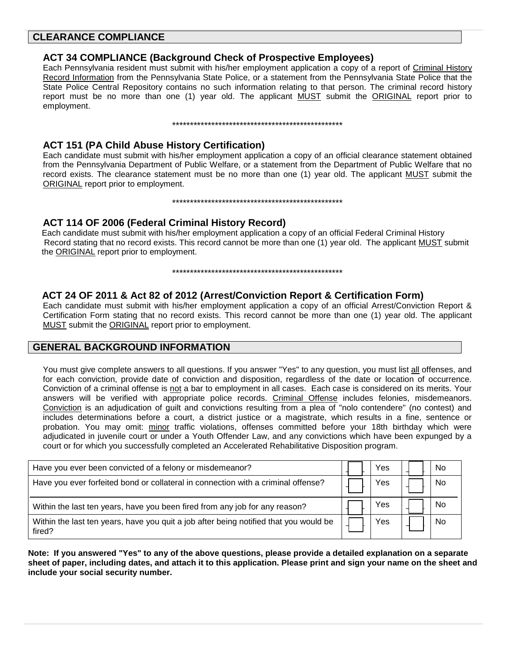#### **CLEARANCE COMPLIANCE**

#### **ACT 34 COMPLIANCE (Background Check of Prospective Employees)**

Each Pennsylvania resident must submit with his/her employment application a copy of a report of Criminal History Record Information from the Pennsylvania State Police, or a statement from the Pennsylvania State Police that the State Police Central Repository contains no such information relating to that person. The criminal record history report must be no more than one (1) year old. The applicant MUST submit the ORIGINAL report prior to employment.

#### 

### **ACT 151 (PA Child Abuse History Certification)**

Each candidate must submit with his/her employment application a copy of an official clearance statement obtained from the Pennsylvania Department of Public Welfare, or a statement from the Department of Public Welfare that no record exists. The clearance statement must be no more than one (1) year old. The applicant MUST submit the ORIGINAL report prior to employment.

#### 

### **ACT 114 OF 2006 (Federal Criminal History Record)**

Each candidate must submit with his/her employment application a copy of an official Federal Criminal History Record stating that no record exists. This record cannot be more than one (1) year old. The applicant MUST submit the ORIGINAL report prior to employment.

#### 

#### ACT 24 OF 2011 & Act 82 of 2012 (Arrest/Conviction Report & Certification Form)

Each candidate must submit with his/her employment application a copy of an official Arrest/Conviction Report & Certification Form stating that no record exists. This record cannot be more than one (1) year old. The applicant MUST submit the ORIGINAL report prior to employment.

#### **GENERAL BACKGROUND INFORMATION**

You must give complete answers to all questions. If you answer "Yes" to any question, you must list all offenses, and for each conviction, provide date of conviction and disposition, regardless of the date or location of occurrence. Conviction of a criminal offense is not a bar to employment in all cases. Each case is considered on its merits. Your answers will be verified with appropriate police records. Criminal Offense includes felonies, misdemeanors. Conviction is an adjudication of guilt and convictions resulting from a plea of "nolo contendere" (no contest) and includes determinations before a court, a district justice or a magistrate, which results in a fine, sentence or probation. You may omit: minor traffic violations, offenses committed before your 18th birthday which were adjudicated in juvenile court or under a Youth Offender Law, and any convictions which have been expunged by a court or for which you successfully completed an Accelerated Rehabilitative Disposition program.

| Have you ever been convicted of a felony or misdemeanor?                                        | Yes | No |
|-------------------------------------------------------------------------------------------------|-----|----|
| Have you ever forfeited bond or collateral in connection with a criminal offense?               | Yes | No |
| Within the last ten years, have you been fired from any job for any reason?                     | Yes | NC |
| Within the last ten years, have you quit a job after being notified that you would be<br>fired? | Yes | Nο |

Note: If you answered "Yes" to any of the above questions, please provide a detailed explanation on a separate sheet of paper, including dates, and attach it to this application. Please print and sign your name on the sheet and include your social security number.